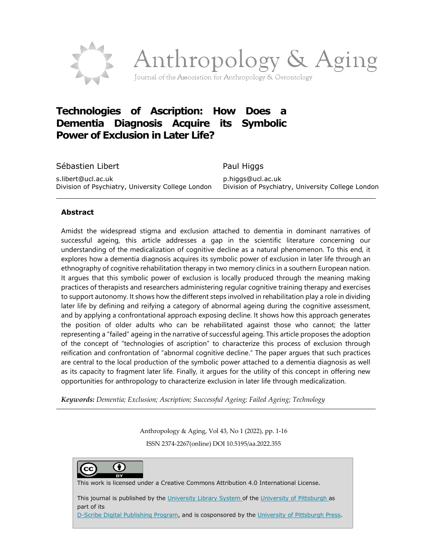

# **Technologies of Ascription: How Does a Dementia Diagnosis Acquire its Symbolic Power of Exclusion in Later Life?**

Sébastien Libert Paul Higgs s.libert@ucl.ac.uk p.higgs@ucl.ac.uk

Division of Psychiatry, University College London Division of Psychiatry, University College London

#### **Abstract**

Amidst the widespread stigma and exclusion attached to dementia in dominant narratives of successful ageing, this article addresses a gap in the scientific literature concerning our understanding of the medicalization of cognitive decline as a natural phenomenon. To this end, it explores how a dementia diagnosis acquires its symbolic power of exclusion in later life through an ethnography of cognitive rehabilitation therapy in two memory clinics in a southern European nation. It argues that this symbolic power of exclusion is locally produced through the meaning making practices of therapists and researchers administering regular cognitive training therapy and exercises to support autonomy. It shows how the different steps involved in rehabilitation play a role in dividing later life by defining and reifying a category of abnormal ageing during the cognitive assessment, and by applying a confrontational approach exposing decline. It shows how this approach generates the position of older adults who can be rehabilitated against those who cannot; the latter representing a "failed" ageing in the narrative of successful ageing. This article proposes the adoption of the concept of "technologies of ascription" to characterize this process of exclusion through reification and confrontation of "abnormal cognitive decline." The paper argues that such practices are central to the local production of the symbolic power attached to a dementia diagnosis as well as its capacity to fragment later life. Finally, it argues for the utility of this concept in offering new opportunities for anthropology to characterize exclusion in later life through medicalization.

*Keywords: Dementia; Exclusion; Ascription; Successful Ageing; Failed Ageing; Technology*

Anthropology & Aging, Vol 43, No 1 (2022), pp. 1-16 ISSN 2374-2267(online) DOI 10.5195/aa.2022.355

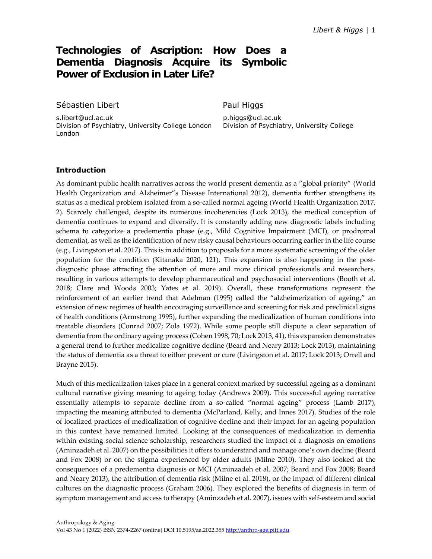## **Technologies of Ascription: How Does Dementia Diagnosis Acquire its Symbolic Power of Exclusion in Later Life?**

Sébastien Libert **Paul Higgs** 

s.libert@ucl.ac.uk p.higgs@ucl.ac.uk Division of Psychiatry, University College London Division of Psychiatry, University College London

#### **Introduction**

As dominant public health narratives across the world present dementia as a "global priority" (World Health Organization and Alzheimer"s Disease International 2012), dementia further strengthens its status as a medical problem isolated from a so-called normal ageing (World Health Organization 2017, 2). Scarcely challenged, despite its numerous incoherencies (Lock 2013), the medical conception of dementia continues to expand and diversify. It is constantly adding new diagnostic labels including schema to categorize a predementia phase (e.g., Mild Cognitive Impairment (MCI), or prodromal dementia), as well as the identification of new risky causal behaviours occurring earlier in the life course (e.g., Livingston et al. 2017). This is in addition to proposals for a more systematic screening of the older population for the condition (Kitanaka 2020, 121). This expansion is also happening in the postdiagnostic phase attracting the attention of more and more clinical professionals and researchers, resulting in various attempts to develop pharmaceutical and psychosocial interventions (Booth et al. 2018; Clare and Woods 2003; Yates et al. 2019). Overall, these transformations represent the reinforcement of an earlier trend that Adelman (1995) called the "alzheimerization of ageing," an extension of new regimes of health encouraging surveillance and screening for risk and preclinical signs of health conditions (Armstrong 1995), further expanding the medicalization of human conditions into treatable disorders (Conrad 2007; Zola 1972). While some people still dispute a clear separation of dementia from the ordinary ageing process (Cohen 1998, 70; Lock 2013, 41), this expansion demonstrates a general trend to further medicalize cognitive decline (Beard and Neary 2013; Lock 2013), maintaining the status of dementia as a threat to either prevent or cure (Livingston et al. 2017; Lock 2013; Orrell and Brayne 2015).

Much of this medicalization takes place in a general context marked by successful ageing as a dominant cultural narrative giving meaning to ageing today (Andrews 2009). This successful ageing narrative essentially attempts to separate decline from a so-called "normal ageing" process (Lamb 2017), impacting the meaning attributed to dementia (McParland, Kelly, and Innes 2017). Studies of the role of localized practices of medicalization of cognitive decline and their impact for an ageing population in this context have remained limited. Looking at the consequences of medicalization in dementia within existing social science scholarship, researchers studied the impact of a diagnosis on emotions (Aminzadeh et al. 2007) on the possibilities it offers to understand and manage one's own decline (Beard and Fox 2008) or on the stigma experienced by older adults (Milne 2010). They also looked at the consequences of a predementia diagnosis or MCI (Aminzadeh et al. 2007; Beard and Fox 2008; Beard and Neary 2013), the attribution of dementia risk (Milne et al. 2018), or the impact of different clinical cultures on the diagnostic process (Graham 2006). They explored the benefits of diagnosis in term of symptom management and access to therapy (Aminzadeh et al. 2007), issues with self-esteem and social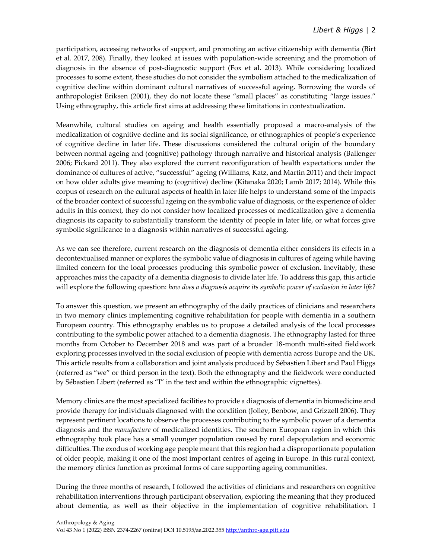participation, accessing networks of support, and promoting an active citizenship with dementia (Birt et al. 2017, 208). Finally, they looked at issues with population-wide screening and the promotion of diagnosis in the absence of post-diagnostic support (Fox et al. 2013). While considering localized processes to some extent, these studies do not consider the symbolism attached to the medicalization of cognitive decline within dominant cultural narratives of successful ageing. Borrowing the words of anthropologist Eriksen (2001), they do not locate these "small places" as constituting "large issues." Using ethnography, this article first aims at addressing these limitations in contextualization.

Meanwhile, cultural studies on ageing and health essentially proposed a macro-analysis of the medicalization of cognitive decline and its social significance, or ethnographies of people's experience of cognitive decline in later life. These discussions considered the cultural origin of the boundary between normal ageing and (cognitive) pathology through narrative and historical analysis (Ballenger 2006; Pickard 2011). They also explored the current reconfiguration of health expectations under the dominance of cultures of active, "successful" ageing (Williams, Katz, and Martin 2011) and their impact on how older adults give meaning to (cognitive) decline (Kitanaka 2020; Lamb 2017; 2014). While this corpus of research on the cultural aspects of health in later life helps to understand some of the impacts of the broader context of successful ageing on the symbolic value of diagnosis, or the experience of older adults in this context, they do not consider how localized processes of medicalization give a dementia diagnosis its capacity to substantially transform the identity of people in later life, or what forces give symbolic significance to a diagnosis within narratives of successful ageing.

As we can see therefore, current research on the diagnosis of dementia either considers its effects in a decontextualised manner or explores the symbolic value of diagnosis in cultures of ageing while having limited concern for the local processes producing this symbolic power of exclusion. Inevitably, these approaches miss the capacity of a dementia diagnosis to divide later life. To address this gap, this article will explore the following question: *how does a diagnosis acquire its symbolic power of exclusion in later life?* 

To answer this question, we present an ethnography of the daily practices of clinicians and researchers in two memory clinics implementing cognitive rehabilitation for people with dementia in a southern European country. This ethnography enables us to propose a detailed analysis of the local processes contributing to the symbolic power attached to a dementia diagnosis. The ethnography lasted for three months from October to December 2018 and was part of a broader 18-month multi-sited fieldwork exploring processes involved in the social exclusion of people with dementia across Europe and the UK. This article results from a collaboration and joint analysis produced by Sébastien Libert and Paul Higgs (referred as "we" or third person in the text). Both the ethnography and the fieldwork were conducted by Sébastien Libert (referred as "I" in the text and within the ethnographic vignettes).

Memory clinics are the most specialized facilities to provide a diagnosis of dementia in biomedicine and provide therapy for individuals diagnosed with the condition (Jolley, Benbow, and Grizzell 2006). They represent pertinent locations to observe the processes contributing to the symbolic power of a dementia diagnosis and the *manufacture* of medicalized identities. The southern European region in which this ethnography took place has a small younger population caused by rural depopulation and economic difficulties. The exodus of working age people meant that this region had a disproportionate population of older people, making it one of the most important centres of ageing in Europe. In this rural context, the memory clinics function as proximal forms of care supporting ageing communities.

During the three months of research, I followed the activities of clinicians and researchers on cognitive rehabilitation interventions through participant observation, exploring the meaning that they produced about dementia, as well as their objective in the implementation of cognitive rehabilitation. I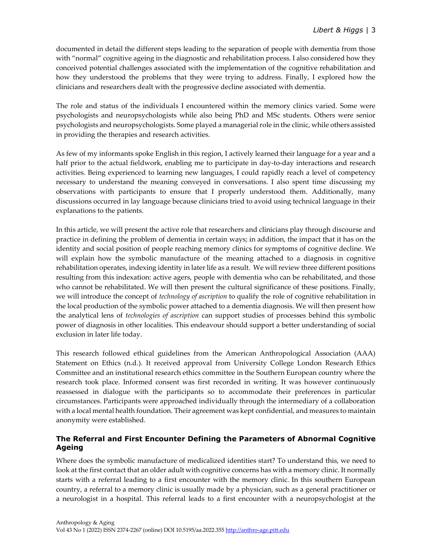documented in detail the different steps leading to the separation of people with dementia from those with "normal" cognitive ageing in the diagnostic and rehabilitation process. I also considered how they conceived potential challenges associated with the implementation of the cognitive rehabilitation and how they understood the problems that they were trying to address. Finally, I explored how the clinicians and researchers dealt with the progressive decline associated with dementia.

The role and status of the individuals I encountered within the memory clinics varied. Some were psychologists and neuropsychologists while also being PhD and MSc students. Others were senior psychologists and neuropsychologists. Some played a managerial role in the clinic, while others assisted in providing the therapies and research activities.

As few of my informants spoke English in this region, I actively learned their language for a year and a half prior to the actual fieldwork, enabling me to participate in day-to-day interactions and research activities. Being experienced to learning new languages, I could rapidly reach a level of competency necessary to understand the meaning conveyed in conversations. I also spent time discussing my observations with participants to ensure that I properly understood them. Additionally, many discussions occurred in lay language because clinicians tried to avoid using technical language in their explanations to the patients.

In this article, we will present the active role that researchers and clinicians play through discourse and practice in defining the problem of dementia in certain ways; in addition, the impact that it has on the identity and social position of people reaching memory clinics for symptoms of cognitive decline. We will explain how the symbolic manufacture of the meaning attached to a diagnosis in cognitive rehabilitation operates, indexing identity in later life as a result. We will review three different positions resulting from this indexation: active agers, people with dementia who can be rehabilitated, and those who cannot be rehabilitated. We will then present the cultural significance of these positions. Finally, we will introduce the concept of *technology of ascription* to qualify the role of cognitive rehabilitation in the local production of the symbolic power attached to a dementia diagnosis. We will then present how the analytical lens of *technologies of ascription* can support studies of processes behind this symbolic power of diagnosis in other localities. This endeavour should support a better understanding of social exclusion in later life today.

This research followed ethical guidelines from the American Anthropological Association (AAA) Statement on Ethics (n.d.). It received approval from University College London Research Ethics Committee and an institutional research ethics committee in the Southern European country where the research took place. Informed consent was first recorded in writing. It was however continuously reassessed in dialogue with the participants so to accommodate their preferences in particular circumstances. Participants were approached individually through the intermediary of a collaboration with a local mental health foundation. Their agreement was kept confidential, and measures to maintain anonymity were established.

## **The Referral and First Encounter Defining the Parameters of Abnormal Cognitive Ageing**

Where does the symbolic manufacture of medicalized identities start? To understand this, we need to look at the first contact that an older adult with cognitive concerns has with a memory clinic. It normally starts with a referral leading to a first encounter with the memory clinic. In this southern European country, a referral to a memory clinic is usually made by a physician, such as a general practitioner or a neurologist in a hospital. This referral leads to a first encounter with a neuropsychologist at the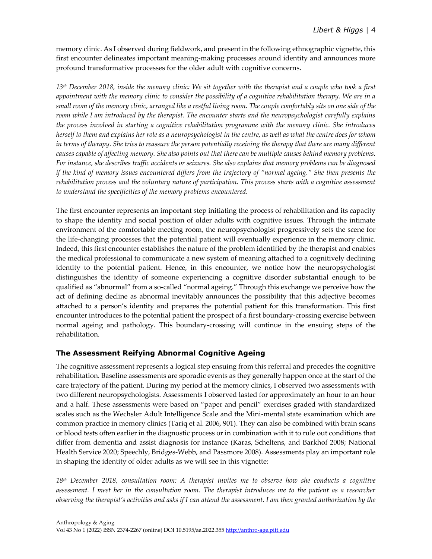memory clinic. As I observed during fieldwork, and present in the following ethnographic vignette, this first encounter delineates important meaning-making processes around identity and announces more profound transformative processes for the older adult with cognitive concerns.

*13th December 2018, inside the memory clinic: We sit together with the therapist and a couple who took a first appointment with the memory clinic to consider the possibility of a cognitive rehabilitation therapy. We are in a small room of the memory clinic, arranged like a restful living room. The couple comfortably sits on one side of the room while I am introduced by the therapist. The encounter starts and the neuropsychologist carefully explains the process involved in starting a cognitive rehabilitation programme with the memory clinic. She introduces herself to them and explains her role as a neuropsychologist in the centre, as well as what the centre does for whom in terms of therapy. She tries to reassure the person potentially receiving the therapy that there are many different causes capable of affecting memory. She also points out that there can be multiple causes behind memory problems. For instance, she describes traffic accidents or seizures. She also explains that memory problems can be diagnosed if the kind of memory issues encountered differs from the trajectory of "normal ageing." She then presents the rehabilitation process and the voluntary nature of participation. This process starts with a cognitive assessment to understand the specificities of the memory problems encountered.*

The first encounter represents an important step initiating the process of rehabilitation and its capacity to shape the identity and social position of older adults with cognitive issues. Through the intimate environment of the comfortable meeting room, the neuropsychologist progressively sets the scene for the life-changing processes that the potential patient will eventually experience in the memory clinic. Indeed, this first encounter establishes the nature of the problem identified by the therapist and enables the medical professional to communicate a new system of meaning attached to a cognitively declining identity to the potential patient. Hence, in this encounter, we notice how the neuropsychologist distinguishes the identity of someone experiencing a cognitive disorder substantial enough to be qualified as "abnormal" from a so-called "normal ageing." Through this exchange we perceive how the act of defining decline as abnormal inevitably announces the possibility that this adjective becomes attached to a person's identity and prepares the potential patient for this transformation. This first encounter introduces to the potential patient the prospect of a first boundary-crossing exercise between normal ageing and pathology. This boundary-crossing will continue in the ensuing steps of the rehabilitation.

### **The Assessment Reifying Abnormal Cognitive Ageing**

The cognitive assessment represents a logical step ensuing from this referral and precedes the cognitive rehabilitation. Baseline assessments are sporadic events as they generally happen once at the start of the care trajectory of the patient. During my period at the memory clinics, I observed two assessments with two different neuropsychologists. Assessments I observed lasted for approximately an hour to an hour and a half. These assessments were based on "paper and pencil" exercises graded with standardized scales such as the Wechsler Adult Intelligence Scale and the Mini-mental state examination which are common practice in memory clinics (Tariq et al. 2006, 901). They can also be combined with brain scans or blood tests often earlier in the diagnostic process or in combination with it to rule out conditions that differ from dementia and assist diagnosis for instance (Karas, Scheltens, and Barkhof 2008; National Health Service 2020; Speechly, Bridges-Webb, and Passmore 2008). Assessments play an important role in shaping the identity of older adults as we will see in this vignette:

*18th December 2018, consultation room: A therapist invites me to observe how she conducts a cognitive assessment. I meet her in the consultation room. The therapist introduces me to the patient as a researcher observing the therapist's activities and asks if I can attend the assessment. I am then granted authorization by the*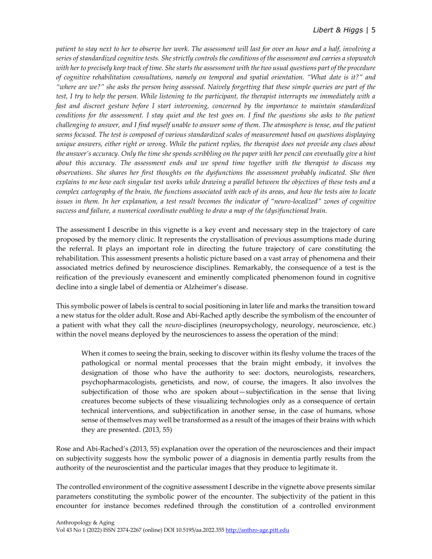### *Libert & Higgs* | 5

*patient to stay next to her to observe her work. The assessment will last for over an hour and a half, involving a series of standardized cognitive tests. She strictly controls the conditions of the assessment and carries a stopwatch with her to precisely keep track of time. She starts the assessment with the two usual questions part of the procedure of cognitive rehabilitation consultations, namely on temporal and spatial orientation. "What date is it?" and "where are we?" she asks the person being assessed. Naively forgetting that these simple queries are part of the test, I try to help the person. While listening to the participant, the therapist interrupts me immediately with a fast and discreet gesture before I start intervening, concerned by the importance to maintain standardized conditions for the assessment. I stay quiet and the test goes on. I find the questions she asks to the patient challenging to answer, and I find myself unable to answer some of them. The atmosphere is tense, and the patient seems focused. The test is composed of various standardized scales of measurement based on questions displaying unique answers, either right or wrong. While the patient replies, the therapist does not provide any clues about the answer's accuracy. Only the time she spends scribbling on the paper with her pencil can eventually give a hint about this accuracy. The assessment ends and we spend time together with the therapist to discuss my observations. She shares her first thoughts on the dysfunctions the assessment probably indicated. She then explains to me how each singular test works while drawing a parallel between the objectives of these tests and a complex cartography of the brain, the functions associated with each of its areas, and how the tests aim to locate issues in them. In her explanation, a test result becomes the indicator of "neuro-localized" zones of cognitive success and failure, a numerical coordinate enabling to draw a map of the (dys)functional brain.*

The assessment I describe in this vignette is a key event and necessary step in the trajectory of care proposed by the memory clinic. It represents the crystallisation of previous assumptions made during the referral. It plays an important role in directing the future trajectory of care constituting the rehabilitation. This assessment presents a holistic picture based on a vast array of phenomena and their associated metrics defined by neuroscience disciplines. Remarkably, the consequence of a test is the reification of the previously evanescent and eminently complicated phenomenon found in cognitive decline into a single label of dementia or Alzheimer's disease.

This symbolic power of labels is central to social positioning in later life and marks the transition toward a new status for the older adult. Rose and Abi-Rached aptly describe the symbolism of the encounter of a patient with what they call the *neuro-*disciplines (neuropsychology, neurology, neuroscience, etc.) within the novel means deployed by the neurosciences to assess the operation of the mind:

When it comes to seeing the brain, seeking to discover within its fleshy volume the traces of the pathological or normal mental processes that the brain might embody, it involves the designation of those who have the authority to see: doctors, neurologists, researchers, psychopharmacologists, geneticists, and now, of course, the imagers. It also involves the subjectification of those who are spoken about—subjectification in the sense that living creatures become subjects of these visualizing technologies only as a consequence of certain technical interventions, and subjectification in another sense, in the case of humans, whose sense of themselves may well be transformed as a result of the images of their brains with which they are presented. (2013, 55)

Rose and Abi-Rached's (2013, 55) explanation over the operation of the neurosciences and their impact on subjectivity suggests how the symbolic power of a diagnosis in dementia partly results from the authority of the neuroscientist and the particular images that they produce to legitimate it.

The controlled environment of the cognitive assessment I describe in the vignette above presents similar parameters constituting the symbolic power of the encounter. The subjectivity of the patient in this encounter for instance becomes redefined through the constitution of a controlled environment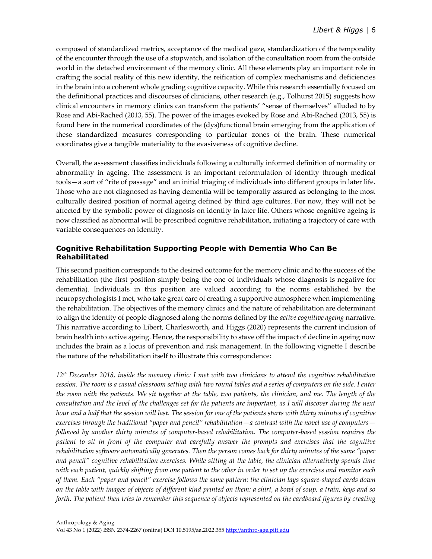composed of standardized metrics, acceptance of the medical gaze, standardization of the temporality of the encounter through the use of a stopwatch, and isolation of the consultation room from the outside world in the detached environment of the memory clinic. All these elements play an important role in crafting the social reality of this new identity, the reification of complex mechanisms and deficiencies in the brain into a coherent whole grading cognitive capacity. While this research essentially focused on the definitional practices and discourses of clinicians, other research (e.g., Tolhurst 2015) suggests how clinical encounters in memory clinics can transform the patients' "sense of themselves" alluded to by Rose and Abi-Rached (2013, 55). The power of the images evoked by Rose and Abi-Rached (2013, 55) is found here in the numerical coordinates of the (dys)functional brain emerging from the application of these standardized measures corresponding to particular zones of the brain. These numerical coordinates give a tangible materiality to the evasiveness of cognitive decline.

Overall, the assessment classifies individuals following a culturally informed definition of normality or abnormality in ageing. The assessment is an important reformulation of identity through medical tools—a sort of "rite of passage" and an initial triaging of individuals into different groups in later life. Those who are not diagnosed as having dementia will be temporally assured as belonging to the most culturally desired position of normal ageing defined by third age cultures. For now, they will not be affected by the symbolic power of diagnosis on identity in later life. Others whose cognitive ageing is now classified as abnormal will be prescribed cognitive rehabilitation, initiating a trajectory of care with variable consequences on identity.

### **Cognitive Rehabilitation Supporting People with Dementia Who Can Be Rehabilitated**

This second position corresponds to the desired outcome for the memory clinic and to the success of the rehabilitation (the first position simply being the one of individuals whose diagnosis is negative for dementia). Individuals in this position are valued according to the norms established by the neuropsychologists I met, who take great care of creating a supportive atmosphere when implementing the rehabilitation. The objectives of the memory clinics and the nature of rehabilitation are determinant to align the identity of people diagnosed along the norms defined by the *active cognitive ageing* narrative. This narrative according to Libert, Charlesworth, and Higgs (2020) represents the current inclusion of brain health into active ageing. Hence, the responsibility to stave off the impact of decline in ageing now includes the brain as a locus of prevention and risk management. In the following vignette I describe the nature of the rehabilitation itself to illustrate this correspondence:

*12th December 2018, inside the memory clinic: I met with two clinicians to attend the cognitive rehabilitation session. The room is a casual classroom setting with two round tables and a series of computers on the side. I enter the room with the patients. We sit together at the table, two patients, the clinician, and me. The length of the consultation and the level of the challenges set for the patients are important, as I will discover during the next hour and a half that the session will last. The session for one of the patients starts with thirty minutes of cognitive exercises through the traditional "paper and pencil" rehabilitation—a contrast with the novel use of computers followed by another thirty minutes of computer-based rehabilitation. The computer-based session requires the patient to sit in front of the computer and carefully answer the prompts and exercises that the cognitive rehabilitation software automatically generates. Then the person comes back for thirty minutes of the same "paper and pencil" cognitive rehabilitation exercises. While sitting at the table, the clinician alternatively spends time with each patient, quickly shifting from one patient to the other in order to set up the exercises and monitor each of them. Each "paper and pencil" exercise follows the same pattern: the clinician lays square-shaped cards down on the table with images of objects of different kind printed on them: a shirt, a bowl of soup, a train, keys and so forth. The patient then tries to remember this sequence of objects represented on the cardboard figures by creating*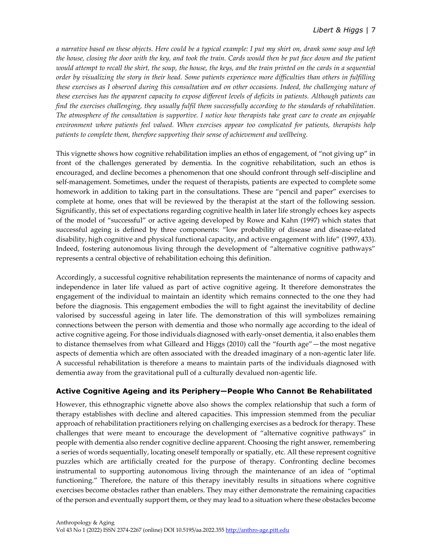*a narrative based on these objects. Here could be a typical example: I put my shirt on, drank some soup and left the house, closing the door with the key, and took the train. Cards would then be put face down and the patient*  would attempt to recall the shirt, the soup, the house, the keys, and the train printed on the cards in a sequential *order by visualizing the story in their head. Some patients experience more difficulties than others in fulfilling these exercises as I observed during this consultation and on other occasions. Indeed, the challenging nature of these exercises has the apparent capacity to expose different levels of deficits in patients. Although patients can find the exercises challenging, they usually fulfil them successfully according to the standards of rehabilitation. The atmosphere of the consultation is supportive. I notice how therapists take great care to create an enjoyable environment where patients feel valued. When exercises appear too complicated for patients, therapists help patients to complete them, therefore supporting their sense of achievement and wellbeing.*

This vignette shows how cognitive rehabilitation implies an ethos of engagement, of "not giving up" in front of the challenges generated by dementia. In the cognitive rehabilitation, such an ethos is encouraged, and decline becomes a phenomenon that one should confront through self-discipline and self-management. Sometimes, under the request of therapists, patients are expected to complete some homework in addition to taking part in the consultations. These are "pencil and paper" exercises to complete at home, ones that will be reviewed by the therapist at the start of the following session. Significantly, this set of expectations regarding cognitive health in later life strongly echoes key aspects of the model of "successful" or active ageing developed by Rowe and Kahn (1997) which states that successful ageing is defined by three components: "low probability of disease and disease-related disability, high cognitive and physical functional capacity, and active engagement with life" (1997, 433). Indeed, fostering autonomous living through the development of "alternative cognitive pathways" represents a central objective of rehabilitation echoing this definition.

Accordingly, a successful cognitive rehabilitation represents the maintenance of norms of capacity and independence in later life valued as part of active cognitive ageing. It therefore demonstrates the engagement of the individual to maintain an identity which remains connected to the one they had before the diagnosis. This engagement embodies the will to fight against the inevitability of decline valorised by successful ageing in later life. The demonstration of this will symbolizes remaining connections between the person with dementia and those who normally age according to the ideal of active cognitive ageing. For those individuals diagnosed with early-onset dementia, it also enables them to distance themselves from what Gilleard and Higgs (2010) call the "fourth age"—the most negative aspects of dementia which are often associated with the dreaded imaginary of a non-agentic later life. A successful rehabilitation is therefore a means to maintain parts of the individuals diagnosed with dementia away from the gravitational pull of a culturally devalued non-agentic life.

## **Active Cognitive Ageing and its Periphery—People Who Cannot Be Rehabilitated**

However, this ethnographic vignette above also shows the complex relationship that such a form of therapy establishes with decline and altered capacities. This impression stemmed from the peculiar approach of rehabilitation practitioners relying on challenging exercises as a bedrock for therapy. These challenges that were meant to encourage the development of "alternative cognitive pathways" in people with dementia also render cognitive decline apparent. Choosing the right answer, remembering a series of words sequentially, locating oneself temporally or spatially, etc. All these represent cognitive puzzles which are artificially created for the purpose of therapy. Confronting decline becomes instrumental to supporting autonomous living through the maintenance of an idea of "optimal functioning." Therefore, the nature of this therapy inevitably results in situations where cognitive exercises become obstacles rather than enablers. They may either demonstrate the remaining capacities of the person and eventually support them, or they may lead to a situation where these obstacles become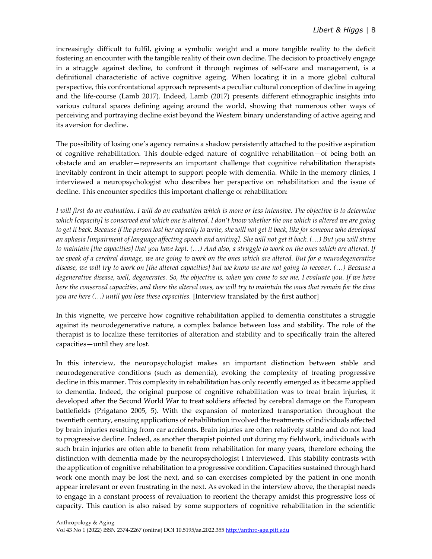increasingly difficult to fulfil, giving a symbolic weight and a more tangible reality to the deficit fostering an encounter with the tangible reality of their own decline. The decision to proactively engage in a struggle against decline, to confront it through regimes of self-care and management, is a definitional characteristic of active cognitive ageing. When locating it in a more global cultural perspective, this confrontational approach represents a peculiar cultural conception of decline in ageing and the life-course (Lamb 2017). Indeed, Lamb (2017) presents different ethnographic insights into various cultural spaces defining ageing around the world, showing that numerous other ways of perceiving and portraying decline exist beyond the Western binary understanding of active ageing and its aversion for decline.

The possibility of losing one's agency remains a shadow persistently attached to the positive aspiration of cognitive rehabilitation. This double-edged nature of cognitive rehabilitation—of being both an obstacle and an enabler—represents an important challenge that cognitive rehabilitation therapists inevitably confront in their attempt to support people with dementia. While in the memory clinics, I interviewed a neuropsychologist who describes her perspective on rehabilitation and the issue of decline. This encounter specifies this important challenge of rehabilitation:

*I will first do an evaluation. I will do an evaluation which is more or less intensive. The objective is to determine which [capacity] is conserved and which one is altered. I don't know whether the one which is altered we are going to get it back. Because if the person lost her capacity to write, she will not get it back, like for someone who developed an aphasia [impairment of language affecting speech and writing]. She will not get it back. (…) But you will strive to maintain [the capacities] that you have kept. (…) And also, a struggle to work on the ones which are altered. If we speak of a cerebral damage, we are going to work on the ones which are altered. But for a neurodegenerative disease, we will try to work on [the altered capacities] but we know we are not going to recover. (…) Because a degenerative disease, well, degenerates. So, the objective is, when you come to see me, I evaluate you. If we have here the conserved capacities, and there the altered ones, we will try to maintain the ones that remain for the time you are here (…) until you lose these capacities.* [Interview translated by the first author]

In this vignette, we perceive how cognitive rehabilitation applied to dementia constitutes a struggle against its neurodegenerative nature, a complex balance between loss and stability. The role of the therapist is to localize these territories of alteration and stability and to specifically train the altered capacities—until they are lost.

In this interview, the neuropsychologist makes an important distinction between stable and neurodegenerative conditions (such as dementia), evoking the complexity of treating progressive decline in this manner. This complexity in rehabilitation has only recently emerged as it became applied to dementia. Indeed, the original purpose of cognitive rehabilitation was to treat brain injuries, it developed after the Second World War to treat soldiers affected by cerebral damage on the European battlefields (Prigatano 2005, 5). With the expansion of motorized transportation throughout the twentieth century, ensuing applications of rehabilitation involved the treatments of individuals affected by brain injuries resulting from car accidents. Brain injuries are often relatively stable and do not lead to progressive decline. Indeed, as another therapist pointed out during my fieldwork, individuals with such brain injuries are often able to benefit from rehabilitation for many years, therefore echoing the distinction with dementia made by the neuropsychologist I interviewed. This stability contrasts with the application of cognitive rehabilitation to a progressive condition. Capacities sustained through hard work one month may be lost the next, and so can exercises completed by the patient in one month appear irrelevant or even frustrating in the next. As evoked in the interview above, the therapist needs to engage in a constant process of revaluation to reorient the therapy amidst this progressive loss of capacity. This caution is also raised by some supporters of cognitive rehabilitation in the scientific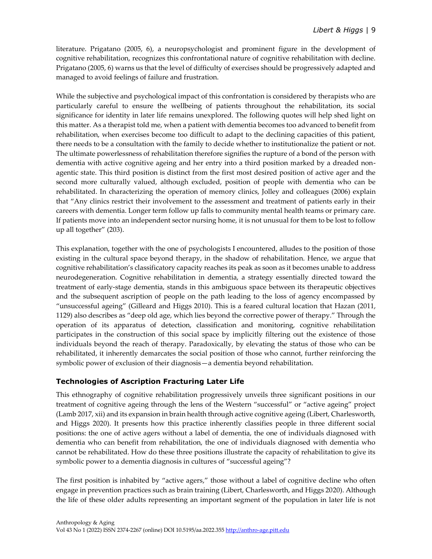literature. Prigatano (2005, 6), a neuropsychologist and prominent figure in the development of cognitive rehabilitation, recognizes this confrontational nature of cognitive rehabilitation with decline. Prigatano (2005, 6) warns us that the level of difficulty of exercises should be progressively adapted and managed to avoid feelings of failure and frustration.

While the subjective and psychological impact of this confrontation is considered by therapists who are particularly careful to ensure the wellbeing of patients throughout the rehabilitation, its social significance for identity in later life remains unexplored. The following quotes will help shed light on this matter. As a therapist told me, when a patient with dementia becomes too advanced to benefit from rehabilitation, when exercises become too difficult to adapt to the declining capacities of this patient, there needs to be a consultation with the family to decide whether to institutionalize the patient or not. The ultimate powerlessness of rehabilitation therefore signifies the rupture of a bond of the person with dementia with active cognitive ageing and her entry into a third position marked by a dreaded nonagentic state. This third position is distinct from the first most desired position of active ager and the second more culturally valued, although excluded, position of people with dementia who can be rehabilitated. In characterizing the operation of memory clinics, Jolley and colleagues (2006) explain that "Any clinics restrict their involvement to the assessment and treatment of patients early in their careers with dementia. Longer term follow up falls to community mental health teams or primary care. If patients move into an independent sector nursing home, it is not unusual for them to be lost to follow up all together" (203).

This explanation, together with the one of psychologists I encountered, alludes to the position of those existing in the cultural space beyond therapy, in the shadow of rehabilitation. Hence, we argue that cognitive rehabilitation's classificatory capacity reaches its peak as soon as it becomes unable to address neurodegeneration. Cognitive rehabilitation in dementia, a strategy essentially directed toward the treatment of early-stage dementia, stands in this ambiguous space between its therapeutic objectives and the subsequent ascription of people on the path leading to the loss of agency encompassed by "unsuccessful ageing" (Gilleard and Higgs 2010). This is a feared cultural location that Hazan (2011, 1129) also describes as "deep old age, which lies beyond the corrective power of therapy." Through the operation of its apparatus of detection, classification and monitoring, cognitive rehabilitation participates in the construction of this social space by implicitly filtering out the existence of those individuals beyond the reach of therapy. Paradoxically, by elevating the status of those who can be rehabilitated, it inherently demarcates the social position of those who cannot, further reinforcing the symbolic power of exclusion of their diagnosis—a dementia beyond rehabilitation.

### **Technologies of Ascription Fracturing Later Life**

This ethnography of cognitive rehabilitation progressively unveils three significant positions in our treatment of cognitive ageing through the lens of the Western "successful" or "active ageing" project (Lamb 2017, xii) and its expansion in brain health through active cognitive ageing (Libert, Charlesworth, and Higgs 2020). It presents how this practice inherently classifies people in three different social positions: the one of active agers without a label of dementia, the one of individuals diagnosed with dementia who can benefit from rehabilitation, the one of individuals diagnosed with dementia who cannot be rehabilitated. How do these three positions illustrate the capacity of rehabilitation to give its symbolic power to a dementia diagnosis in cultures of "successful ageing"?

The first position is inhabited by "active agers," those without a label of cognitive decline who often engage in prevention practices such as brain training (Libert, Charlesworth, and Higgs 2020). Although the life of these older adults representing an important segment of the population in later life is not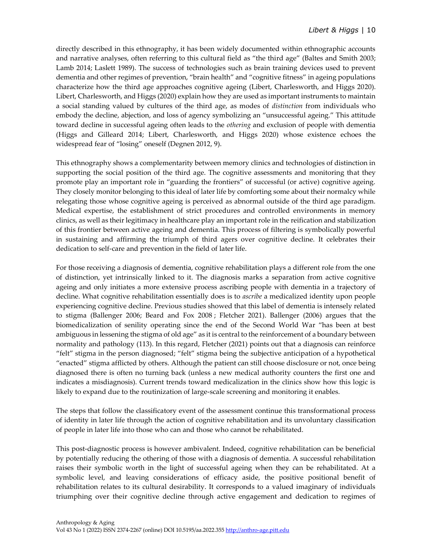directly described in this ethnography, it has been widely documented within ethnographic accounts and narrative analyses, often referring to this cultural field as "the third age" (Baltes and Smith 2003; Lamb 2014; Laslett 1989). The success of technologies such as brain training devices used to prevent dementia and other regimes of prevention, "brain health" and "cognitive fitness" in ageing populations characterize how the third age approaches cognitive ageing (Libert, Charlesworth, and Higgs 2020). Libert, Charlesworth, and Higgs (2020) explain how they are used as important instruments to maintain a social standing valued by cultures of the third age, as modes of *distinction* from individuals who embody the decline, abjection, and loss of agency symbolizing an "unsuccessful ageing." This attitude toward decline in successful ageing often leads to the *othering* and exclusion of people with dementia (Higgs and Gilleard 2014; Libert, Charlesworth, and Higgs 2020) whose existence echoes the widespread fear of "losing" oneself (Degnen 2012, 9).

This ethnography shows a complementarity between memory clinics and technologies of distinction in supporting the social position of the third age. The cognitive assessments and monitoring that they promote play an important role in "guarding the frontiers" of successful (or active) cognitive ageing. They closely monitor belonging to this ideal of later life by comforting some about their normalcy while relegating those whose cognitive ageing is perceived as abnormal outside of the third age paradigm. Medical expertise, the establishment of strict procedures and controlled environments in memory clinics, as well as their legitimacy in healthcare play an important role in the reification and stabilization of this frontier between active ageing and dementia. This process of filtering is symbolically powerful in sustaining and affirming the triumph of third agers over cognitive decline. It celebrates their dedication to self-care and prevention in the field of later life.

For those receiving a diagnosis of dementia, cognitive rehabilitation plays a different role from the one of distinction, yet intrinsically linked to it. The diagnosis marks a separation from active cognitive ageing and only initiates a more extensive process ascribing people with dementia in a trajectory of decline. What cognitive rehabilitation essentially does is to *ascribe* a medicalized identity upon people experiencing cognitive decline. Previous studies showed that this label of dementia is intensely related to stigma (Ballenger 2006; Beard and Fox 2008 ; Fletcher 2021). Ballenger (2006) argues that the biomedicalization of senility operating since the end of the Second World War "has been at best ambiguous in lessening the stigma of old age" as it is central to the reinforcement of a boundary between normality and pathology (113). In this regard, Fletcher (2021) points out that a diagnosis can reinforce "felt" stigma in the person diagnosed; "felt" stigma being the subjective anticipation of a hypothetical "enacted" stigma afflicted by others. Although the patient can still choose disclosure or not, once being diagnosed there is often no turning back (unless a new medical authority counters the first one and indicates a misdiagnosis). Current trends toward medicalization in the clinics show how this logic is likely to expand due to the routinization of large-scale screening and monitoring it enables.

The steps that follow the classificatory event of the assessment continue this transformational process of identity in later life through the action of cognitive rehabilitation and its unvoluntary classification of people in later life into those who can and those who cannot be rehabilitated.

This post-diagnostic process is however ambivalent. Indeed, cognitive rehabilitation can be beneficial by potentially reducing the othering of those with a diagnosis of dementia. A successful rehabilitation raises their symbolic worth in the light of successful ageing when they can be rehabilitated. At a symbolic level, and leaving considerations of efficacy aside, the positive positional benefit of rehabilitation relates to its cultural desirability. It corresponds to a valued imaginary of individuals triumphing over their cognitive decline through active engagement and dedication to regimes of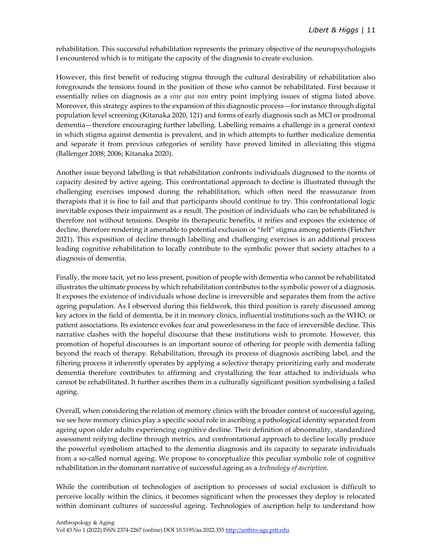rehabilitation. This successful rehabilitation represents the primary objective of the neuropsychologists I encountered which is to mitigate the capacity of the diagnosis to create exclusion.

However, this first benefit of reducing stigma through the cultural desirability of rehabilitation also foregrounds the tensions found in the position of those who cannot be rehabilitated. First because it essentially relies on diagnosis as a *sine qua non* entry point implying issues of stigma listed above. Moreover, this strategy aspires to the expansion of this diagnostic process—for instance through digital population level screening (Kitanaka 2020, 121) and forms of early diagnosis such as MCI or prodromal dementia—therefore encouraging further labelling. Labelling remains a challenge in a general context in which stigma against dementia is prevalent, and in which attempts to further medicalize dementia and separate it from previous categories of senility have proved limited in alleviating this stigma (Ballenger 2008; 2006; Kitanaka 2020).

Another issue beyond labelling is that rehabilitation confronts individuals diagnosed to the norms of capacity desired by active ageing. This confrontational approach to decline is illustrated through the challenging exercises imposed during the rehabilitation, which often need the reassurance from therapists that it is fine to fail and that participants should continue to try. This confrontational logic inevitable exposes their impairment as a result. The position of individuals who can be rehabilitated is therefore not without tensions. Despite its therapeutic benefits, it reifies and exposes the existence of decline, therefore rendering it amenable to potential exclusion or "felt" stigma among patients (Fletcher 2021). This exposition of decline through labelling and challenging exercises is an additional process leading cognitive rehabilitation to locally contribute to the symbolic power that society attaches to a diagnosis of dementia.

Finally, the more tacit, yet no less present, position of people with dementia who cannot be rehabilitated illustrates the ultimate process by which rehabilitation contributes to the symbolic power of a diagnosis. It exposes the existence of individuals whose decline is irreversible and separates them from the active ageing population. As I observed during this fieldwork, this third position is rarely discussed among key actors in the field of dementia, be it in memory clinics, influential institutions such as the WHO, or patient associations. Its existence evokes fear and powerlessness in the face of irreversible decline. This narrative clashes with the hopeful discourse that these institutions wish to promote. However, this promotion of hopeful discourses is an important source of othering for people with dementia falling beyond the reach of therapy. Rehabilitation, through its process of diagnosis ascribing label, and the filtering process it inherently operates by applying a selective therapy prioritizing early and moderate dementia therefore contributes to affirming and crystallizing the fear attached to individuals who cannot be rehabilitated. It further ascribes them in a culturally significant position symbolising a failed ageing.

Overall, when considering the relation of memory clinics with the broader context of successful ageing, we see how memory clinics play a specific social role in ascribing a pathological identity separated from ageing upon older adults experiencing cognitive decline. Their definition of abnormality, standardized assessment reifying decline through metrics, and confrontational approach to decline locally produce the powerful symbolism attached to the dementia diagnosis and its capacity to separate individuals from a so-called normal ageing. We propose to conceptualize this peculiar symbolic role of cognitive rehabilitation in the dominant narrative of successful ageing as a *technology of ascription.* 

While the contribution of technologies of ascription to processes of social exclusion is difficult to perceive locally within the clinics, it becomes significant when the processes they deploy is relocated within dominant cultures of successful ageing. Technologies of ascription help to understand how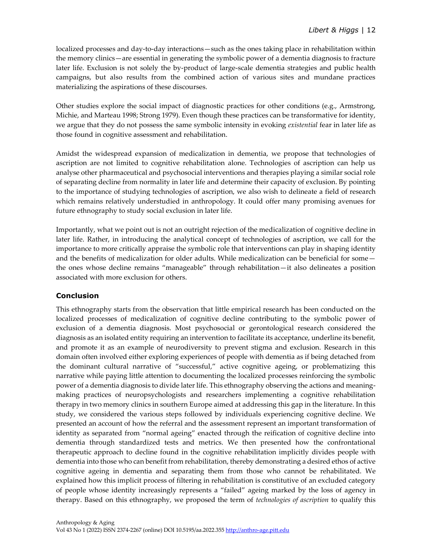localized processes and day-to-day interactions—such as the ones taking place in rehabilitation within the memory clinics—are essential in generating the symbolic power of a dementia diagnosis to fracture later life. Exclusion is not solely the by-product of large-scale dementia strategies and public health campaigns, but also results from the combined action of various sites and mundane practices materializing the aspirations of these discourses.

Other studies explore the social impact of diagnostic practices for other conditions (e.g., Armstrong, Michie, and Marteau 1998; Strong 1979). Even though these practices can be transformative for identity, we argue that they do not possess the same symbolic intensity in evoking *existential* fear in later life as those found in cognitive assessment and rehabilitation.

Amidst the widespread expansion of medicalization in dementia, we propose that technologies of ascription are not limited to cognitive rehabilitation alone. Technologies of ascription can help us analyse other pharmaceutical and psychosocial interventions and therapies playing a similar social role of separating decline from normality in later life and determine their capacity of exclusion. By pointing to the importance of studying technologies of ascription, we also wish to delineate a field of research which remains relatively understudied in anthropology. It could offer many promising avenues for future ethnography to study social exclusion in later life.

Importantly, what we point out is not an outright rejection of the medicalization of cognitive decline in later life. Rather, in introducing the analytical concept of technologies of ascription, we call for the importance to more critically appraise the symbolic role that interventions can play in shaping identity and the benefits of medicalization for older adults. While medicalization can be beneficial for some the ones whose decline remains "manageable" through rehabilitation—it also delineates a position associated with more exclusion for others.

### **Conclusion**

This ethnography starts from the observation that little empirical research has been conducted on the localized processes of medicalization of cognitive decline contributing to the symbolic power of exclusion of a dementia diagnosis. Most psychosocial or gerontological research considered the diagnosis as an isolated entity requiring an intervention to facilitate its acceptance, underline its benefit, and promote it as an example of neurodiversity to prevent stigma and exclusion. Research in this domain often involved either exploring experiences of people with dementia as if being detached from the dominant cultural narrative of "successful," active cognitive ageing, or problematizing this narrative while paying little attention to documenting the localized processes reinforcing the symbolic power of a dementia diagnosis to divide later life. This ethnography observing the actions and meaningmaking practices of neuropsychologists and researchers implementing a cognitive rehabilitation therapy in two memory clinics in southern Europe aimed at addressing this gap in the literature. In this study, we considered the various steps followed by individuals experiencing cognitive decline. We presented an account of how the referral and the assessment represent an important transformation of identity as separated from "normal ageing" enacted through the reification of cognitive decline into dementia through standardized tests and metrics. We then presented how the confrontational therapeutic approach to decline found in the cognitive rehabilitation implicitly divides people with dementia into those who can benefit from rehabilitation, thereby demonstrating a desired ethos of active cognitive ageing in dementia and separating them from those who cannot be rehabilitated. We explained how this implicit process of filtering in rehabilitation is constitutive of an excluded category of people whose identity increasingly represents a "failed" ageing marked by the loss of agency in therapy. Based on this ethnography, we proposed the term of *technologies of ascription* to qualify this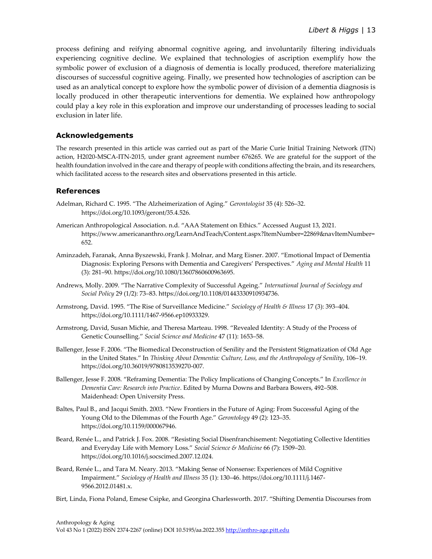process defining and reifying abnormal cognitive ageing, and involuntarily filtering individuals experiencing cognitive decline. We explained that technologies of ascription exemplify how the symbolic power of exclusion of a diagnosis of dementia is locally produced, therefore materializing discourses of successful cognitive ageing. Finally, we presented how technologies of ascription can be used as an analytical concept to explore how the symbolic power of division of a dementia diagnosis is locally produced in other therapeutic interventions for dementia. We explained how anthropology could play a key role in this exploration and improve our understanding of processes leading to social exclusion in later life.

#### **Acknowledgements**

The research presented in this article was carried out as part of the Marie Curie Initial Training Network (ITN) action, H2020-MSCA-ITN-2015, under grant agreement number 676265. We are grateful for the support of the health foundation involved in the care and therapy of people with conditions affecting the brain, and its researchers, which facilitated access to the research sites and observations presented in this article.

#### **References**

- Adelman, Richard C. 1995. "The Alzheimerization of Aging." *Gerontologist* 35 (4): 526–32. https://doi.org/10.1093/geront/35.4.526.
- American Anthropological Association. n.d. "AAA Statement on Ethics." Accessed August 13, 2021. https://www.americananthro.org/LearnAndTeach/Content.aspx?ItemNumber=22869&navItemNumber= 652.
- Aminzadeh, Faranak, Anna Byszewski, Frank J. Molnar, and Marg Eisner. 2007. "Emotional Impact of Dementia Diagnosis: Exploring Persons with Dementia and Caregivers' Perspectives." *Aging and Mental Health* 11 (3): 281–90. https://doi.org/10.1080/13607860600963695.
- Andrews, Molly. 2009. "The Narrative Complexity of Successful Ageing." *International Journal of Sociology and Social Policy* 29 (1/2): 73–83. https://doi.org/10.1108/01443330910934736.
- Armstrong, David. 1995. "The Rise of Surveillance Medicine." *Sociology of Health & Illness* 17 (3): 393–404. https://doi.org/10.1111/1467-9566.ep10933329.
- Armstrong, David, Susan Michie, and Theresa Marteau. 1998. "Revealed Identity: A Study of the Process of Genetic Counselling." *Social Science and Medicine* 47 (11): 1653–58.
- Ballenger, Jesse F. 2006. "The Biomedical Deconstruction of Senility and the Persistent Stigmatization of Old Age in the United States." In *Thinking About Dementia: Culture, Loss, and the Anthropology of Senility*, 106–19. https://doi.org/10.36019/9780813539270-007.
- Ballenger, Jesse F. 2008. "Reframing Dementia: The Policy Implications of Changing Concepts." In *Excellence in Dementia Care: Research into Practice*. Edited by Murna Downs and Barbara Bowers, 492–508. Maidenhead: Open University Press.
- Baltes, Paul B., and Jacqui Smith. 2003. "New Frontiers in the Future of Aging: From Successful Aging of the Young Old to the Dilemmas of the Fourth Age." *Gerontology* 49 (2): 123–35. https://doi.org/10.1159/000067946.
- Beard, Renée L., and Patrick J. Fox. 2008. "Resisting Social Disenfranchisement: Negotiating Collective Identities and Everyday Life with Memory Loss." *Social Science & Medicine* 66 (7): 1509–20. https://doi.org/10.1016/j.socscimed.2007.12.024.
- Beard, Renée L., and Tara M. Neary. 2013. "Making Sense of Nonsense: Experiences of Mild Cognitive Impairment." *Sociology of Health and Illness* 35 (1): 130–46. https://doi.org/10.1111/j.1467- 9566.2012.01481.x.
- Birt, Linda, Fiona Poland, Emese Csipke, and Georgina Charlesworth. 2017. "Shifting Dementia Discourses from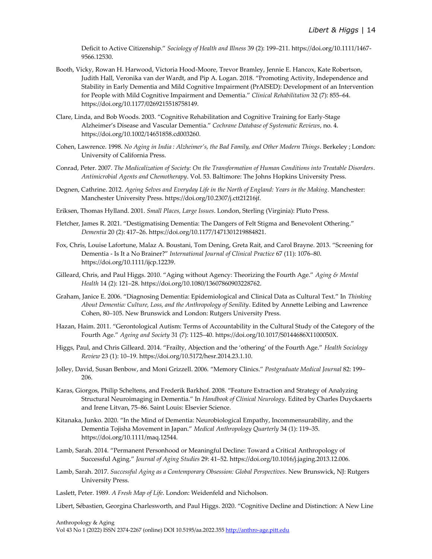Deficit to Active Citizenship." *Sociology of Health and Illness* 39 (2): 199–211. https://doi.org/10.1111/1467- 9566.12530.

- Booth, Vicky, Rowan H. Harwood, Victoria Hood-Moore, Trevor Bramley, Jennie E. Hancox, Kate Robertson, Judith Hall, Veronika van der Wardt, and Pip A. Logan. 2018. "Promoting Activity, Independence and Stability in Early Dementia and Mild Cognitive Impairment (PrAISED): Development of an Intervention for People with Mild Cognitive Impairment and Dementia." *Clinical Rehabilitation* 32 (7): 855–64. https://doi.org/10.1177/0269215518758149.
- Clare, Linda, and Bob Woods. 2003. "Cognitive Rehabilitation and Cognitive Training for Early-Stage Alzheimer's Disease and Vascular Dementia." *Cochrane Database of Systematic Reviews*, no. 4. https://doi.org/10.1002/14651858.cd003260.
- Cohen, Lawrence. 1998. *No Aging in India : Alzheimer's, the Bad Family, and Other Modern Things*. Berkeley ; London: University of California Press.
- Conrad, Peter. 2007. *The Medicalization of Society: On the Transformation of Human Conditions into Treatable Disorders*. *Antimicrobial Agents and Chemotherapy*. Vol. 53. Baltimore: The Johns Hopkins University Press.
- Degnen, Cathrine. 2012. *Ageing Selves and Everyday Life in the North of England: Years in the Making*. Manchester: Manchester University Press. https://doi.org/10.2307/j.ctt21216jf.
- Eriksen, Thomas Hylland. 2001. *Small Places, Large Issues*. London, Sterling (Virginia): Pluto Press.
- Fletcher, James R. 2021. "Destigmatising Dementia: The Dangers of Felt Stigma and Benevolent Othering." *Dementia* 20 (2): 417–26. https://doi.org/10.1177/1471301219884821.
- Fox, Chris, Louise Lafortune, Malaz A. Boustani, Tom Dening, Greta Rait, and Carol Brayne. 2013. "Screening for Dementia - Is It a No Brainer?" *International Journal of Clinical Practice* 67 (11): 1076–80. https://doi.org/10.1111/ijcp.12239.
- Gilleard, Chris, and Paul Higgs. 2010. "Aging without Agency: Theorizing the Fourth Age." *Aging & Mental Health* 14 (2): 121–28. https://doi.org/10.1080/13607860903228762.
- Graham, Janice E. 2006. "Diagnosing Dementia: Epidemiological and Clinical Data as Cultural Text." In *Thinking About Dementia: Culture, Loss, and the Anthropology of Senility*. Edited by Annette Leibing and Lawrence Cohen, 80–105. New Brunswick and London: Rutgers University Press.
- Hazan, Haim. 2011. "Gerontological Autism: Terms of Accountability in the Cultural Study of the Category of the Fourth Age." *Ageing and Society* 31 (7): 1125–40. https://doi.org/10.1017/S0144686X1100050X.
- Higgs, Paul, and Chris Gilleard. 2014. "Frailty, Abjection and the 'othering' of the Fourth Age." *Health Sociology Review* 23 (1): 10–19. https://doi.org/10.5172/hesr.2014.23.1.10.
- Jolley, David, Susan Benbow, and Moni Grizzell. 2006. "Memory Clinics." *Postgraduate Medical Journal* 82: 199– 206.
- Karas, Giorgos, Philip Scheltens, and Frederik Barkhof. 2008. "Feature Extraction and Strategy of Analyzing Structural Neuroimaging in Dementia." In *Handbook of Clinical Neurology*. Edited by Charles Duyckaerts and Irene Litvan, 75–86. Saint Louis: Elsevier Science.
- Kitanaka, Junko. 2020. "In the Mind of Dementia: Neurobiological Empathy, Incommensurability, and the Dementia Tojisha Movement in Japan." *Medical Anthropology Quarterly* 34 (1): 119–35. https://doi.org/10.1111/maq.12544.
- Lamb, Sarah. 2014. "Permanent Personhood or Meaningful Decline: Toward a Critical Anthropology of Successful Aging." *Journal of Aging Studies* 29: 41–52. https://doi.org/10.1016/j.jaging.2013.12.006.
- Lamb, Sarah. 2017. *Successful Aging as a Contemporary Obsession: Global Perspectives*. New Brunswick, NJ: Rutgers University Press.
- Laslett, Peter. 1989. *A Fresh Map of Life*. London: Weidenfeld and Nicholson.

Libert, Sébastien, Georgina Charlesworth, and Paul Higgs. 2020. "Cognitive Decline and Distinction: A New Line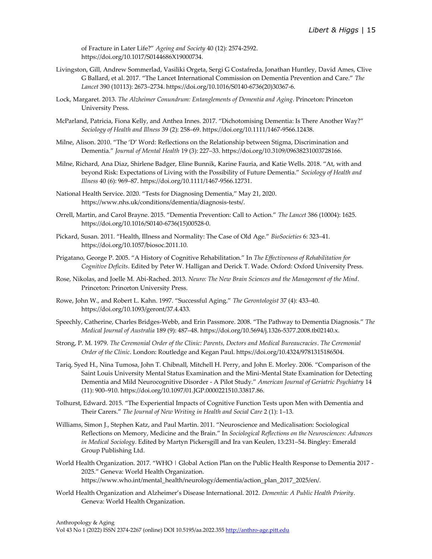of Fracture in Later Life?" *Ageing and Society* 40 (12): 2574-2592. https://doi.org/10.1017/S0144686X19000734.

- Livingston, Gill, Andrew Sommerlad, Vasiliki Orgeta, Sergi G Costafreda, Jonathan Huntley, David Ames, Clive G Ballard, et al. 2017. "The Lancet International Commission on Dementia Prevention and Care." *The Lancet* 390 (10113): 2673–2734. https://doi.org/10.1016/S0140-6736(20)30367-6.
- Lock, Margaret. 2013. *The Alzheimer Conundrum: Entanglements of Dementia and Aging*. Princeton: Princeton University Press.
- McParland, Patricia, Fiona Kelly, and Anthea Innes. 2017. "Dichotomising Dementia: Is There Another Way?" *Sociology of Health and Illness* 39 (2): 258–69. https://doi.org/10.1111/1467-9566.12438.
- Milne, Alison. 2010. "The 'D' Word: Reflections on the Relationship between Stigma, Discrimination and Dementia." *Journal of Mental Health* 19 (3): 227–33. https://doi.org/10.3109/09638231003728166.
- Milne, Richard, Ana Diaz, Shirlene Badger, Eline Bunnik, Karine Fauria, and Katie Wells. 2018. "At, with and beyond Risk: Expectations of Living with the Possibility of Future Dementia." *Sociology of Health and Illness* 40 (6): 969–87. https://doi.org/10.1111/1467-9566.12731.
- National Health Service. 2020. "Tests for Diagnosing Dementia," May 21, 2020. https://www.nhs.uk/conditions/dementia/diagnosis-tests/.
- Orrell, Martin, and Carol Brayne. 2015. "Dementia Prevention: Call to Action." *The Lancet* 386 (10004): 1625. https://doi.org/10.1016/S0140-6736(15)00528-0.
- Pickard, Susan. 2011. "Health, Illness and Normality: The Case of Old Age." *BioSocieties* 6: 323–41. https://doi.org/10.1057/biosoc.2011.10.
- Prigatano, George P. 2005. "A History of Cognitive Rehabilitation." In *The Effectiveness of Rehabilitation for Cognitive Deficits*. Edited by Peter W. Halligan and Derick T. Wade. Oxford: Oxford University Press.
- Rose, Nikolas, and Joelle M. Abi-Rached. 2013. *Neuro: The New Brain Sciences and the Management of the Mind*. Princeton: Princeton University Press.
- Rowe, John W., and Robert L. Kahn. 1997. "Successful Aging." *The Gerontologist* 37 (4): 433–40. https://doi.org/10.1093/geront/37.4.433.
- Speechly, Catherine, Charles Bridges-Webb, and Erin Passmore. 2008. "The Pathway to Dementia Diagnosis." *The Medical Journal of Australia* 189 (9): 487–48. https://doi.org/10.5694/j.1326-5377.2008.tb02140.x.
- Strong, P. M. 1979. *The Ceremonial Order of the Clinic: Parents, Doctors and Medical Bureaucracies*. *The Ceremonial Order of the Clinic*. London: Routledge and Kegan Paul. https://doi.org/10.4324/9781315186504.
- Tariq, Syed H., Nina Tumosa, John T. Chibnall, Mitchell H. Perry, and John E. Morley. 2006. "Comparison of the Saint Louis University Mental Status Examination and the Mini-Mental State Examination for Detecting Dementia and Mild Neurocognitive Disorder - A Pilot Study." *American Journal of Geriatric Psychiatry* 14 (11): 900–910. https://doi.org/10.1097/01.JGP.0000221510.33817.86.
- Tolhurst, Edward. 2015. "The Experiential Impacts of Cognitive Function Tests upon Men with Dementia and Their Carers." *The Journal of New Writing in Health and Social Care* 2 (1): 1–13.
- Williams, Simon J., Stephen Katz, and Paul Martin. 2011. "Neuroscience and Medicalisation: Sociological Reflections on Memory, Medicine and the Brain." In *Sociological Reflections on the Neurosciences: Advances in Medical Sociology*. Edited by Martyn Pickersgill and Ira van Keulen, 13:231–54. Bingley: Emerald Group Publishing Ltd.
- World Health Organization. 2017. "WHO | Global Action Plan on the Public Health Response to Dementia 2017 2025." Geneva: World Health Organization. https://www.who.int/mental\_health/neurology/dementia/action\_plan\_2017\_2025/en/.
- World Health Organization and Alzheimer's Disease International. 2012. *Dementia: A Public Health Priority*. Geneva: World Health Organization.